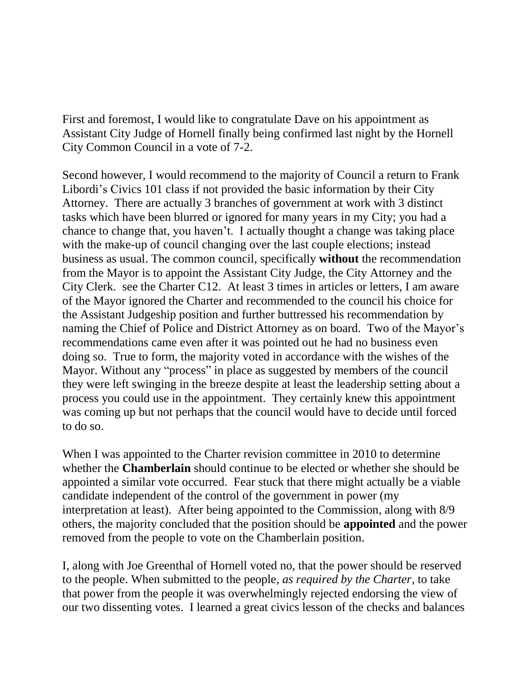First and foremost, I would like to congratulate Dave on his appointment as Assistant City Judge of Hornell finally being confirmed last night by the Hornell City Common Council in a vote of 7-2.

Second however, I would recommend to the majority of Council a return to Frank Libordi's Civics 101 class if not provided the basic information by their City Attorney. There are actually 3 branches of government at work with 3 distinct tasks which have been blurred or ignored for many years in my City; you had a chance to change that, you haven't. I actually thought a change was taking place with the make-up of council changing over the last couple elections; instead business as usual. The common council, specifically **without** the recommendation from the Mayor is to appoint the Assistant City Judge, the City Attorney and the City Clerk. see the Charter C12. At least 3 times in articles or letters, I am aware of the Mayor ignored the Charter and recommended to the council his choice for the Assistant Judgeship position and further buttressed his recommendation by naming the Chief of Police and District Attorney as on board. Two of the Mayor's recommendations came even after it was pointed out he had no business even doing so. True to form, the majority voted in accordance with the wishes of the Mayor. Without any "process" in place as suggested by members of the council they were left swinging in the breeze despite at least the leadership setting about a process you could use in the appointment. They certainly knew this appointment was coming up but not perhaps that the council would have to decide until forced to do so.

When I was appointed to the Charter revision committee in 2010 to determine whether the **Chamberlain** should continue to be elected or whether she should be appointed a similar vote occurred. Fear stuck that there might actually be a viable candidate independent of the control of the government in power (my interpretation at least). After being appointed to the Commission, along with 8/9 others, the majority concluded that the position should be **appointed** and the power removed from the people to vote on the Chamberlain position.

I, along with Joe Greenthal of Hornell voted no, that the power should be reserved to the people. When submitted to the people, *as required by the Charter*, to take that power from the people it was overwhelmingly rejected endorsing the view of our two dissenting votes. I learned a great civics lesson of the checks and balances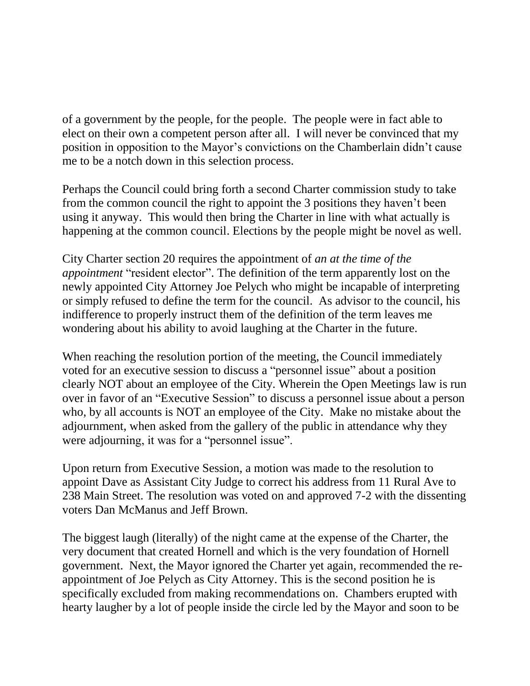of a government by the people, for the people. The people were in fact able to elect on their own a competent person after all. I will never be convinced that my position in opposition to the Mayor's convictions on the Chamberlain didn't cause me to be a notch down in this selection process.

Perhaps the Council could bring forth a second Charter commission study to take from the common council the right to appoint the 3 positions they haven't been using it anyway. This would then bring the Charter in line with what actually is happening at the common council. Elections by the people might be novel as well.

City Charter section 20 requires the appointment of *an at the time of the appointment* "resident elector". The definition of the term apparently lost on the newly appointed City Attorney Joe Pelych who might be incapable of interpreting or simply refused to define the term for the council. As advisor to the council, his indifference to properly instruct them of the definition of the term leaves me wondering about his ability to avoid laughing at the Charter in the future.

When reaching the resolution portion of the meeting, the Council immediately voted for an executive session to discuss a "personnel issue" about a position clearly NOT about an employee of the City. Wherein the Open Meetings law is run over in favor of an "Executive Session" to discuss a personnel issue about a person who, by all accounts is NOT an employee of the City. Make no mistake about the adjournment, when asked from the gallery of the public in attendance why they were adjourning, it was for a "personnel issue".

Upon return from Executive Session, a motion was made to the resolution to appoint Dave as Assistant City Judge to correct his address from 11 Rural Ave to 238 Main Street. The resolution was voted on and approved 7-2 with the dissenting voters Dan McManus and Jeff Brown.

The biggest laugh (literally) of the night came at the expense of the Charter, the very document that created Hornell and which is the very foundation of Hornell government. Next, the Mayor ignored the Charter yet again, recommended the reappointment of Joe Pelych as City Attorney. This is the second position he is specifically excluded from making recommendations on. Chambers erupted with hearty laugher by a lot of people inside the circle led by the Mayor and soon to be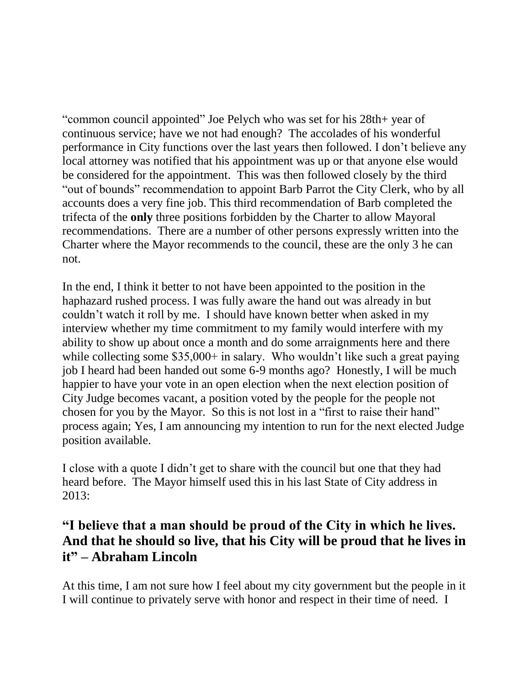"common council appointed" Joe Pelych who was set for his 28th+ year of continuous service; have we not had enough? The accolades of his wonderful performance in City functions over the last years then followed. I don't believe any local attorney was notified that his appointment was up or that anyone else would be considered for the appointment. This was then followed closely by the third "out of bounds" recommendation to appoint Barb Parrot the City Clerk, who by all accounts does a very fine job. This third recommendation of Barb completed the trifecta of the **only** three positions forbidden by the Charter to allow Mayoral recommendations. There are a number of other persons expressly written into the Charter where the Mayor recommends to the council, these are the only 3 he can not.

In the end, I think it better to not have been appointed to the position in the haphazard rushed process. I was fully aware the hand out was already in but couldn't watch it roll by me. I should have known better when asked in my interview whether my time commitment to my family would interfere with my ability to show up about once a month and do some arraignments here and there while collecting some \$35,000+ in salary. Who wouldn't like such a great paying job I heard had been handed out some 6-9 months ago? Honestly, I will be much happier to have your vote in an open election when the next election position of City Judge becomes vacant, a position voted by the people for the people not chosen for you by the Mayor. So this is not lost in a "first to raise their hand" process again; Yes, I am announcing my intention to run for the next elected Judge position available.

I close with a quote I didn't get to share with the council but one that they had heard before. The Mayor himself used this in his last State of City address in 2013:

## **"I believe that a man should be proud of the City in which he lives. And that he should so live, that his City will be proud that he lives in it" – Abraham Lincoln**

At this time, I am not sure how I feel about my city government but the people in it I will continue to privately serve with honor and respect in their time of need. I